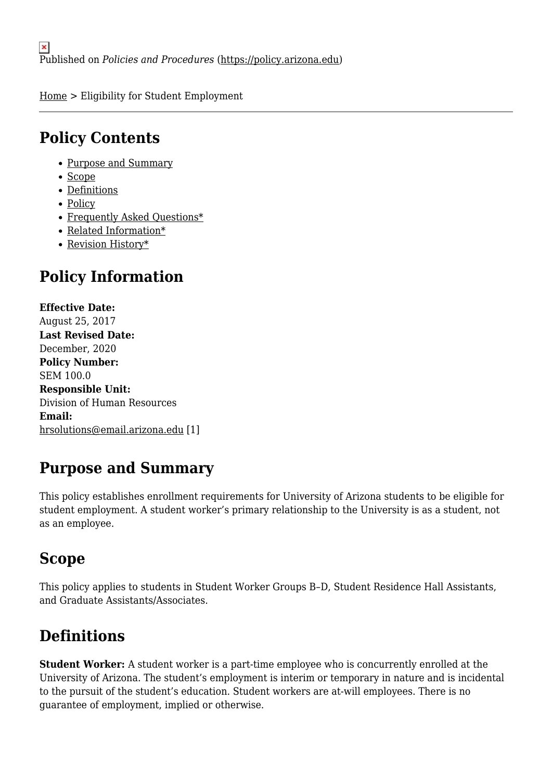[Home](https://policy.arizona.edu/) > Eligibility for Student Employment

### **Policy Contents**

- [Purpose and Summary](#page-0-0)
- [Scope](#page-0-1)
- [Definitions](#page-0-2)
- [Policy](#page-0-3)
- [Frequently Asked Questions\\*](#page-2-0)
- [Related Information\\*](#page-2-1)
- [Revision History\\*](#page-3-0)

# **Policy Information**

**Effective Date:**  August 25, 2017 **Last Revised Date:**  December, 2020 **Policy Number:**  SEM 100.0 **Responsible Unit:**  Division of Human Resources **Email:**  [hrsolutions@email.arizona.edu](mailto:hrsolutions@email.arizona.edu) [1]

# <span id="page-0-0"></span>**Purpose and Summary**

This policy establishes enrollment requirements for University of Arizona students to be eligible for student employment. A student worker's primary relationship to the University is as a student, not as an employee.

### <span id="page-0-1"></span>**Scope**

This policy applies to students in Student Worker Groups B–D, Student Residence Hall Assistants, and Graduate Assistants/Associates.

# <span id="page-0-2"></span>**Definitions**

<span id="page-0-3"></span>**Student Worker:** A student worker is a part-time employee who is concurrently enrolled at the University of Arizona. The student's employment is interim or temporary in nature and is incidental to the pursuit of the student's education. Student workers are at-will employees. There is no guarantee of employment, implied or otherwise.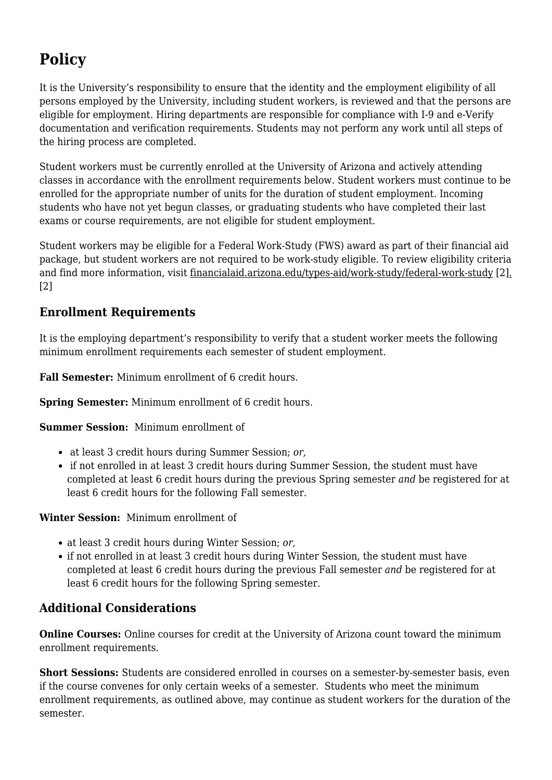# **Policy**

It is the University's responsibility to ensure that the identity and the employment eligibility of all persons employed by the University, including student workers, is reviewed and that the persons are eligible for employment. Hiring departments are responsible for compliance with I-9 and e-Verify documentation and verification requirements. Students may not perform any work until all steps of the hiring process are completed.

Student workers must be currently enrolled at the University of Arizona and actively attending classes in accordance with the enrollment requirements below. Student workers must continue to be enrolled for the appropriate number of units for the duration of student employment. Incoming students who have not yet begun classes, or graduating students who have completed their last exams or course requirements, are not eligible for student employment.

Student workers may be eligible for a Federal Work-Study (FWS) award as part of their financial aid package, but student workers are not required to be work-study eligible. To review eligibility criteria and find more information, visit [financialaid.arizona.edu/types-aid/work-study/federal-work-study](http://financialaid.arizona.edu/types-aid/work-study/federal-work-study) [2[\].](http://financialaid.arizona.edu/types-aid/work-study/federal-work-study) [2]

### **Enrollment Requirements**

It is the employing department's responsibility to verify that a student worker meets the following minimum enrollment requirements each semester of student employment.

**Fall Semester:** Minimum enrollment of 6 credit hours.

**Spring Semester:** Minimum enrollment of 6 credit hours.

**Summer Session:** Minimum enrollment of

- at least 3 credit hours during Summer Session; *or,*
- if not enrolled in at least 3 credit hours during Summer Session, the student must have completed at least 6 credit hours during the previous Spring semester *and* be registered for at least 6 credit hours for the following Fall semester.

**Winter Session:** Minimum enrollment of

- at least 3 credit hours during Winter Session; *or,*
- if not enrolled in at least 3 credit hours during Winter Session, the student must have completed at least 6 credit hours during the previous Fall semester *and* be registered for at least 6 credit hours for the following Spring semester.

### **Additional Considerations**

**Online Courses:** Online courses for credit at the University of Arizona count toward the minimum enrollment requirements.

**Short Sessions:** Students are considered enrolled in courses on a semester-by-semester basis, even if the course convenes for only certain weeks of a semester. Students who meet the minimum enrollment requirements, as outlined above, may continue as student workers for the duration of the semester.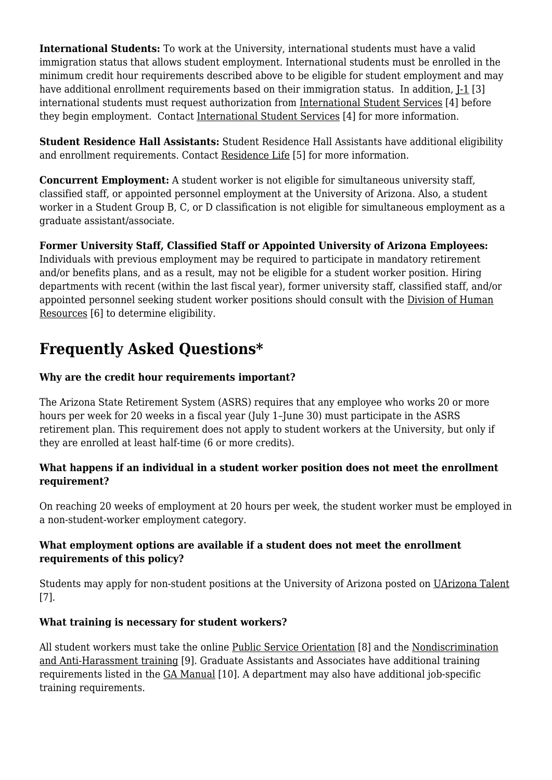**International Students:** To work at the University, international students must have a valid immigration status that allows student employment. International students must be enrolled in the minimum credit hour requirements described above to be eligible for student employment and may have additional enrollment requirements based on their immigration status. In addition,  $I-1$  [3] international students must request authorization from [International Student Services](https://global.arizona.edu/iss) [4] before they begin employment. Contact [International Student Services](https://global.arizona.edu/iss) [4] for more information.

**Student Residence Hall Assistants:** Student Residence Hall Assistants have additional eligibility and enrollment requirements. Contact [Residence Life](https://housing.arizona.edu/) [5] for more information.

**Concurrent Employment:** A student worker is not eligible for simultaneous university staff, classified staff, or appointed personnel employment at the University of Arizona. Also, a student worker in a Student Group B, C, or D classification is not eligible for simultaneous employment as a graduate assistant/associate.

**Former University Staff, Classified Staff or Appointed University of Arizona Employees:** Individuals with previous employment may be required to participate in mandatory retirement and/or benefits plans, and as a result, may not be eligible for a student worker position. Hiring departments with recent (within the last fiscal year), former university staff, classified staff, and/or appointed personnel seeking student worker positions should consult with the [Division of Human](http://hr.arizona.edu/) [Resources](http://hr.arizona.edu/) [6] to determine eligibility.

# <span id="page-2-0"></span>**Frequently Asked Questions\***

### **Why are the credit hour requirements important?**

The Arizona State Retirement System (ASRS) requires that any employee who works 20 or more hours per week for 20 weeks in a fiscal year (July 1–June 30) must participate in the ASRS retirement plan. This requirement does not apply to student workers at the University, but only if they are enrolled at least half-time (6 or more credits).

#### **What happens if an individual in a student worker position does not meet the enrollment requirement?**

On reaching 20 weeks of employment at 20 hours per week, the student worker must be employed in a non-student-worker employment category.

#### **What employment options are available if a student does not meet the enrollment requirements of this policy?**

Students may apply for non-student positions at the University of Arizona posted on [UArizona Talent](https://talent.arizona.edu/) [7].

### **What training is necessary for student workers?**

<span id="page-2-1"></span>All student workers must take the online [Public Service Orientation](http://hr.arizona.edu/employees-affiliates/new-ua/new-employee-orientation-programs/arizona-public-service-orientation) [8] and the [Nondiscrimination](http://equity.arizona.edu/training/online-training) [and Anti-Harassment training](http://equity.arizona.edu/training/online-training) [9]. Graduate Assistants and Associates have additional training requirements listed in the [GA Manual](https://grad.arizona.edu/funding/ga) [10]. A department may also have additional job-specific training requirements.